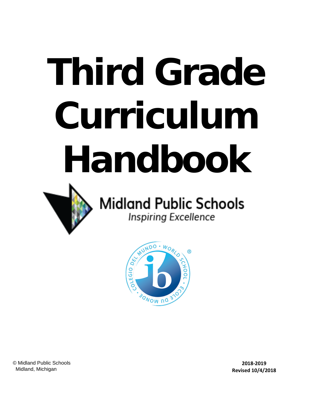# **Third Grade Curriculum Handbook**



**Midland Public Schools Inspiring Excellence** 



© Midland Public Schools Midland, Michigan

**2018-2019 Revised 10/4/2018**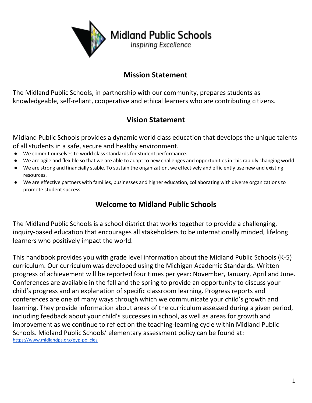

# **Mission Statement**

The Midland Public Schools, in partnership with our community, prepares students as knowledgeable, self-reliant, cooperative and ethical learners who are contributing citizens.

# **Vision Statement**

Midland Public Schools provides a dynamic world class education that develops the unique talents of all students in a safe, secure and healthy environment.

- We commit ourselves to world class standards for student performance.
- We are agile and flexible so that we are able to adapt to new challenges and opportunities in this rapidly changing world.
- We are strong and financially stable. To sustain the organization, we effectively and efficiently use new and existing resources.
- We are effective partners with families, businesses and higher education, collaborating with diverse organizations to promote student success.

# **Welcome to Midland Public Schools**

The Midland Public Schools is a school district that works together to provide a challenging, inquiry-based education that encourages all stakeholders to be internationally minded, lifelong learners who positively impact the world.

This handbook provides you with grade level information about the Midland Public Schools (K-5) curriculum. Our curriculum was developed using the Michigan Academic Standards. Written progress of achievement will be reported four times per year: November, January, April and June. Conferences are available in the fall and the spring to provide an opportunity to discuss your child's progress and an explanation of specific classroom learning. Progress reports and conferences are one of many ways through which we communicate your child's growth and learning. They provide information about areas of the curriculum assessed during a given period, including feedback about your child's successes in school, as well as areas for growth and improvement as we continue to reflect on the teaching-learning cycle within Midland Public Schools. Midland Public Schools' elementary assessment policy can be found at: <https://www.midlandps.org/pyp-policies>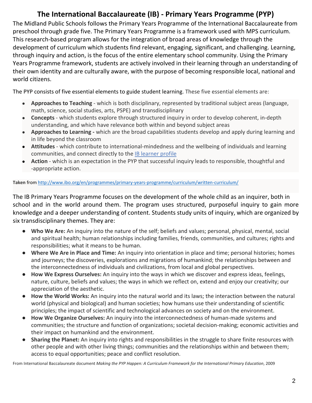# **The International Baccalaureate (IB) - Primary Years Programme (PYP)**

The Midland Public Schools follows the Primary Years Programme of the International Baccalaureate from preschool through grade five. The Primary Years Programme is a framework used with MPS curriculum. This research-based program allows for the integration of broad areas of knowledge through the development of curriculum which students find relevant, engaging, significant, and challenging. Learning, through inquiry and action, is the focus of the entire elementary school community. Using the Primary Years Programme framework, students are actively involved in their learning through an understanding of their own identity and are culturally aware, with the purpose of becoming responsible local, national and world citizens.

The PYP consists of five essential elements to guide student learning. These five essential elements are:

- **Approaches to Teaching**  which is both disciplinary, represented by traditional subject areas (language, math, science, social studies, arts, PSPE) and transdisciplinary
- **Concepts**  which students explore through structured inquiry in order to develop coherent, in-depth understanding, and which have relevance both within and beyond subject areas
- **Approaches to Learning -** which are the broad capabilities students develop and apply during learning and in life beyond the classroom
- **Attitudes**  which contribute to international-mindedness and the wellbeing of individuals and learning communities, and connect directly to the **IB** learner profile
- **Action**  which is an expectation in the PYP that successful inquiry leads to responsible, thoughtful and -appropriate action.

**Taken** fro[m http://www.ibo.org/en/programmes/primary-years-programme/curriculum/written-curriculum/](http://www.ibo.org/en/programmes/primary-years-programme/curriculum/written-curriculum/)

The IB Primary Years Programme focuses on the development of the whole child as an inquirer, both in school and in the world around them. The program uses structured, purposeful inquiry to gain more knowledge and a deeper understanding of content. Students study units of inquiry, which are organized by six transdisciplinary themes. They are:

- **Who We Are:** An inquiry into the nature of the self; beliefs and values; personal, physical, mental, social and spiritual health; human relationships including families, friends, communities, and cultures; rights and responsibilities; what it means to be human.
- **Where We Are in Place and Time:** An inquiry into orientation in place and time; personal histories; homes and journeys; the discoveries, explorations and migrations of humankind; the relationships between and the interconnectedness of individuals and civilizations, from local and global perspectives.
- **How We Express Ourselves:** An inquiry into the ways in which we discover and express ideas, feelings, nature, culture, beliefs and values; the ways in which we reflect on, extend and enjoy our creativity; our appreciation of the aesthetic.
- **How the World Works:** An inquiry into the natural world and its laws; the interaction between the natural world (physical and biological) and human societies; how humans use their understanding of scientific principles; the impact of scientific and technological advances on society and on the environment.
- **How We Organize Ourselves:** An inquiry into the interconnectedness of human-made systems and communities; the structure and function of organizations; societal decision-making; economic activities and their impact on humankind and the environment.
- **Sharing the Planet:** An inquiry into rights and responsibilities in the struggle to share finite resources with other people and with other living things; communities and the relationships within and between them; access to equal opportunities; peace and conflict resolution.

From International Baccalaureate document *Making the PYP Happen: A Curriculum Framework for the International Primary Education*, 2009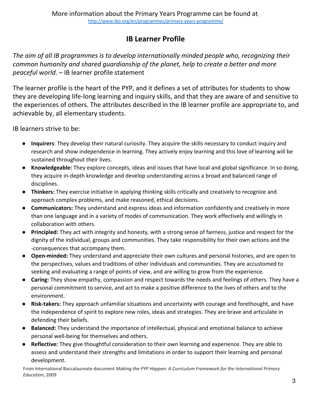# **IB Learner Profile**

*The aim of all IB programmes is to develop internationally minded people who, recognizing their common humanity and shared guardianship of the planet, help to create a better and more peaceful world*. – IB learner profile statement

The learner profile is the heart of the PYP, and it defines a set of attributes for students to show they are developing life-long learning and inquiry skills, and that they are aware of and sensitive to the experiences of others. The attributes described in the IB learner profile are appropriate to, and achievable by, all elementary students.

IB learners strive to be:

- **Inquirers**: They develop their natural curiosity. They acquire the skills necessary to conduct inquiry and research and show independence in learning. They actively enjoy learning and this love of learning will be sustained throughout their lives.
- **Knowledgeable:** They explore concepts, ideas and issues that have local and global significance. In so doing, they acquire in-depth knowledge and develop understanding across a broad and balanced range of disciplines.
- **Thinkers:** They exercise initiative in applying thinking skills critically and creatively to recognize and approach complex problems, and make reasoned, ethical decisions.
- **Communicators:** They understand and express ideas and information confidently and creatively in more than one language and in a variety of modes of communication. They work effectively and willingly in collaboration with others.
- **Principled:** They act with integrity and honesty, with a strong sense of fairness, justice and respect for the dignity of the individual, groups and communities. They take responsibility for their own actions and the -consequences that accompany them.
- **Open-minded:** They understand and appreciate their own cultures and personal histories, and are open to the perspectives, values and traditions of other individuals and communities. They are accustomed to seeking and evaluating a range of points of view, and are willing to grow from the experience.
- **Caring:** They show empathy, compassion and respect towards the needs and feelings of others. They have a personal commitment to service, and act to make a positive difference to the lives of others and to the environment.
- **Risk-takers:** They approach unfamiliar situations and uncertainty with courage and forethought, and have the independence of spirit to explore new roles, ideas and strategies. They are brave and articulate in defending their beliefs.
- **Balanced:** They understand the importance of intellectual, physical and emotional balance to achieve personal well-being for themselves and others.
- **Reflective:** They give thoughtful consideration to their own learning and experience. They are able to assess and understand their strengths and limitations in order to support their learning and personal development.

From International Baccalaureate document *Making the PYP Happen: A Curriculum Framework for the International Primary Education*, 2009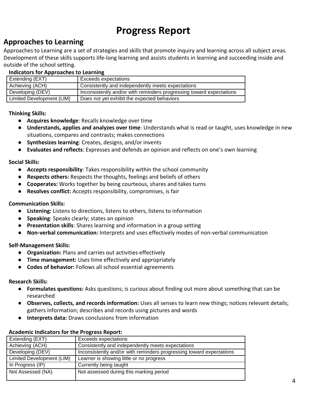# **Progress Report**

## **Approaches to Learning**

Approaches to Learning are a set of strategies and skills that promote inquiry and learning across all subject areas. Development of these skills supports life-long learning and assists students in learning and succeeding inside and outside of the school setting.

#### **Indicators for Approaches to Learning**

| Extending (EXT)           | <b>Exceeds expectations</b>                                          |
|---------------------------|----------------------------------------------------------------------|
| Achieving (ACH)           | Consistently and independently meets expectations                    |
| Developing (DEV)          | Inconsistently and/or with reminders progressing toward expectations |
| Limited Development (LIM) | Does not yet exhibit the expected behaviors                          |

#### **Thinking Skills:**

- **Acquires knowledge**: Recalls knowledge over time
- **Understands, applies and analyzes over time**: Understands what is read or taught, uses knowledge in new situations, compares and contrasts; makes connections
- **Synthesizes learning**: Creates, designs, and/or invents
- **Evaluates and reflects**: Expresses and defends an opinion and reflects on one's own learning

#### **Social Skills:**

- **Accepts responsibility**: Takes responsibility within the school community
- **Respects others:** Respects the thoughts, feelings and beliefs of others
- **Cooperates:** Works together by being courteous, shares and takes turns
- **Resolves conflict:** Accepts responsibility, compromises, is fair

#### **Communication Skills:**

- **Listening:** Listens to directions, listens to others, listens to information
- **Speaking**: Speaks clearly; states an opinion
- **Presentation skills**: Shares learning and information in a group setting
- **Non-verbal communication:** Interprets and uses effectively modes of non-verbal communication

#### **Self-Management Skills:**

- **Organization:** Plans and carries out activities effectively
- **Time management:** Uses time effectively and appropriately
- **Codes of behavior:** Follows all school essential agreements

#### **Research Skills:**

- **● Formulates questions:** Asks questions; is curious about finding out more about something that can be researched
- **● Observes, collects, and records information:** Uses all senses to learn new things; notices relevant details; gathers information; describes and records using pictures and words
- **● Interprets data:** Draws conclusions from information

| Academic marcators for the Frogress neport. |                                                                      |  |
|---------------------------------------------|----------------------------------------------------------------------|--|
| Extending (EXT)                             | <b>Exceeds expectations</b>                                          |  |
| Achieving (ACH)                             | Consistently and independently meets expectations                    |  |
| Developing (DEV)                            | Inconsistently and/or with reminders progressing toward expectations |  |
| Limited Development (LIM)                   | Learner is showing little or no progress                             |  |
| In Progress (IP)                            | Currently being taught                                               |  |
| Not Assessed (NA)                           | Not assessed during this marking period                              |  |
|                                             |                                                                      |  |

#### **Academic Indicators for the Progress Report:**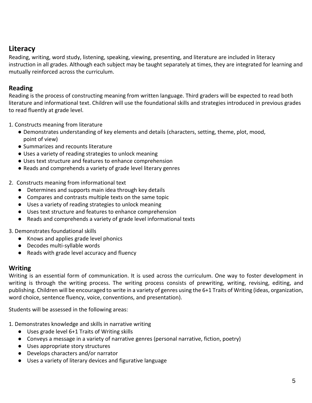# **Literacy**

Reading, writing, word study, listening, speaking, viewing, presenting, and literature are included in literacy instruction in all grades. Although each subject may be taught separately at times, they are integrated for learning and mutually reinforced across the curriculum.

#### **Reading**

Reading is the process of constructing meaning from written language. Third graders will be expected to read both literature and informational text. Children will use the foundational skills and strategies introduced in previous grades to read fluently at grade level.

- 1. Constructs meaning from literature
	- Demonstrates understanding of key elements and details (characters, setting, theme, plot, mood, point of view)
	- Summarizes and recounts literature
	- Uses a variety of reading strategies to unlock meaning
	- Uses text structure and features to enhance comprehension
	- Reads and comprehends a variety of grade level literary genres
- 2. Constructs meaning from informational text
	- Determines and supports main idea through key details
	- Compares and contrasts multiple texts on the same topic
	- Uses a variety of reading strategies to unlock meaning
	- Uses text structure and features to enhance comprehension
	- Reads and comprehends a variety of grade level informational texts

#### 3. Demonstrates foundational skills

- Knows and applies grade level phonics
- Decodes multi-syllable words
- Reads with grade level accuracy and fluency

#### **Writing**

Writing is an essential form of communication. It is used across the curriculum. One way to foster development in writing is through the writing process. The writing process consists of prewriting, writing, revising, editing, and publishing. Children will be encouraged to write in a variety of genres using the 6+1 Traits of Writing (ideas, organization, word choice, sentence fluency, voice, conventions, and presentation).

Students will be assessed in the following areas:

- 1. Demonstrates knowledge and skills in narrative writing
	- Uses grade level 6+1 Traits of Writing skills
	- Conveys a message in a variety of narrative genres (personal narrative, fiction, poetry)
	- Uses appropriate story structures
	- Develops characters and/or narrator
	- Uses a variety of literary devices and figurative language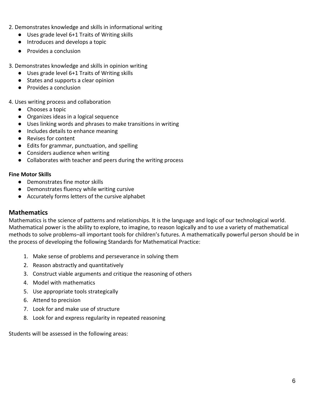- 2. Demonstrates knowledge and skills in informational writing
	- Uses grade level 6+1 Traits of Writing skills
	- Introduces and develops a topic
	- Provides a conclusion
- 3. Demonstrates knowledge and skills in opinion writing
	- Uses grade level 6+1 Traits of Writing skills
	- States and supports a clear opinion
	- Provides a conclusion

4. Uses writing process and collaboration

- Chooses a topic
- Organizes ideas in a logical sequence
- Uses linking words and phrases to make transitions in writing
- Includes details to enhance meaning
- Revises for content
- Edits for grammar, punctuation, and spelling
- Considers audience when writing
- Collaborates with teacher and peers during the writing process

#### **Fine Motor Skills**

- Demonstrates fine motor skills
- Demonstrates fluency while writing cursive
- Accurately forms letters of the cursive alphabet

#### **Mathematics**

Mathematics is the science of patterns and relationships. It is the language and logic of our technological world. Mathematical power is the ability to explore, to imagine, to reason logically and to use a variety of mathematical methods to solve problems–all important tools for children's futures. A mathematically powerful person should be in the process of developing the following Standards for Mathematical Practice:

- 1. Make sense of problems and perseverance in solving them
- 2. Reason abstractly and quantitatively
- 3. Construct viable arguments and critique the reasoning of others
- 4. Model with mathematics
- 5. Use appropriate tools strategically
- 6. Attend to precision
- 7. Look for and make use of structure
- 8. Look for and express regularity in repeated reasoning

Students will be assessed in the following areas: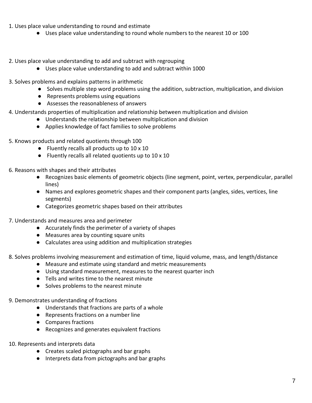#### 1. Uses place value understanding to round and estimate

- Uses place value understanding to round whole numbers to the nearest 10 or 100
- 2. Uses place value understanding to add and subtract with regrouping
	- Uses place value understanding to add and subtract within 1000
- 3. Solves problems and explains patterns in arithmetic
	- Solves multiple step word problems using the addition, subtraction, multiplication, and division
	- Represents problems using equations
	- Assesses the reasonableness of answers
- 4. Understands properties of multiplication and relationship between multiplication and division
	- Understands the relationship between multiplication and division
	- Applies knowledge of fact families to solve problems
- 5. Knows products and related quotients through 100
	- Fluently recalls all products up to 10 x 10
	- Fluently recalls all related quotients up to 10 x 10
- 6. Reasons with shapes and their attributes
	- Recognizes basic elements of geometric objects (line segment, point, vertex, perpendicular, parallel lines)
	- Names and explores geometric shapes and their component parts (angles, sides, vertices, line segments)
	- Categorizes geometric shapes based on their attributes
- 7. Understands and measures area and perimeter
	- Accurately finds the perimeter of a variety of shapes
	- Measures area by counting square units
	- Calculates area using addition and multiplication strategies
- 8. Solves problems involving measurement and estimation of time, liquid volume, mass, and length/distance
	- Measure and estimate using standard and metric measurements
	- Using standard measurement, measures to the nearest quarter inch
	- Tells and writes time to the nearest minute
	- Solves problems to the nearest minute
- 9. Demonstrates understanding of fractions
	- Understands that fractions are parts of a whole
	- Represents fractions on a number line
	- Compares fractions
	- Recognizes and generates equivalent fractions
- 10. Represents and interprets data
	- Creates scaled pictographs and bar graphs
	- Interprets data from pictographs and bar graphs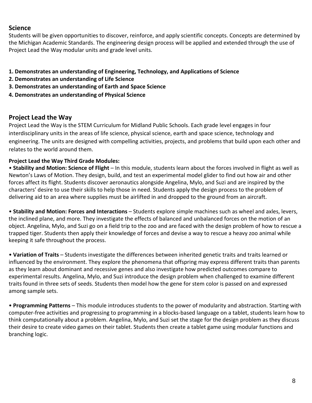#### **Science**

Students will be given opportunities to discover, reinforce, and apply scientific concepts. Concepts are determined by the Michigan Academic Standards. The engineering design process will be applied and extended through the use of Project Lead the Way modular units and grade level units.

- **1. Demonstrates an understanding of Engineering, Technology, and Applications of Science**
- **2. Demonstrates an understanding of Life Science**
- **3. Demonstrates an understanding of Earth and Space Science**
- **4. Demonstrates an understanding of Physical Science**

#### **Project Lead the Way**

Project Lead the Way is the STEM Curriculum for Midland Public Schools. Each grade level engages in four interdisciplinary units in the areas of life science, physical science, earth and space science, technology and engineering. The units are designed with compelling activities, projects, and problems that build upon each other and relates to the world around them.

#### **Project Lead the Way Third Grade Modules:**

• **Stability and Motion: Science of Flight** – In this module, students learn about the forces involved in flight as well as Newton's Laws of Motion. They design, build, and test an experimental model glider to find out how air and other forces affect its flight. Students discover aeronautics alongside Angelina, Mylo, and Suzi and are inspired by the characters' desire to use their skills to help those in need. Students apply the design process to the problem of delivering aid to an area where supplies must be airlifted in and dropped to the ground from an aircraft.

• **Stability and Motion: Forces and Interactions** – Students explore simple machines such as wheel and axles, levers, the inclined plane, and more. They investigate the effects of balanced and unbalanced forces on the motion of an object. Angelina, Mylo, and Suzi go on a field trip to the zoo and are faced with the design problem of how to rescue a trapped tiger. Students then apply their knowledge of forces and devise a way to rescue a heavy zoo animal while keeping it safe throughout the process.

• **Variation of Traits** – Students investigate the differences between inherited genetic traits and traits learned or influenced by the environment. They explore the phenomena that offspring may express different traits than parents as they learn about dominant and recessive genes and also investigate how predicted outcomes compare to experimental results. Angelina, Mylo, and Suzi introduce the design problem when challenged to examine different traits found in three sets of seeds. Students then model how the gene for stem color is passed on and expressed among sample sets.

• **Programming Patterns** – This module introduces students to the power of modularity and abstraction. Starting with computer-free activities and progressing to programming in a blocks-based language on a tablet, students learn how to think computationally about a problem. Angelina, Mylo, and Suzi set the stage for the design problem as they discuss their desire to create video games on their tablet. Students then create a tablet game using modular functions and branching logic.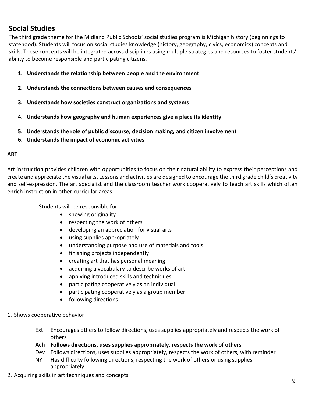## **Social Studies**

The third grade theme for the Midland Public Schools' social studies program is Michigan history (beginnings to statehood). Students will focus on social studies knowledge (history, geography, civics, economics) concepts and skills. These concepts will be integrated across disciplines using multiple strategies and resources to foster students' ability to become responsible and participating citizens.

- **1. Understands the relationship between people and the environment**
- **2. Understands the connections between causes and consequences**
- **3. Understands how societies construct organizations and systems**
- **4. Understands how geography and human experiences give a place its identity**
- **5. Understands the role of public discourse, decision making, and citizen involvement**
- **6. Understands the impact of economic activities**

#### **ART**

Art instruction provides children with opportunities to focus on their natural ability to express their perceptions and create and appreciate the visual arts. Lessons and activities are designed to encourage the third grade child's creativity and self-expression. The art specialist and the classroom teacher work cooperatively to teach art skills which often enrich instruction in other curricular areas.

Students will be responsible for:

- showing originality
- respecting the work of others
- developing an appreciation for visual arts
- using supplies appropriately
- understanding purpose and use of materials and tools
- finishing projects independently
- creating art that has personal meaning
- acquiring a vocabulary to describe works of art
- applying introduced skills and techniques
- participating cooperatively as an individual
- participating cooperatively as a group member
- following directions
- 1. Shows cooperative behavior
	- Ext Encourages others to follow directions, uses supplies appropriately and respects the work of others
	- **Ach Follows directions, uses supplies appropriately, respects the work of others**
	- Dev Follows directions, uses supplies appropriately, respects the work of others, with reminder
	- NY Has difficulty following directions, respecting the work of others or using supplies appropriately
- 2. Acquiring skills in art techniques and concepts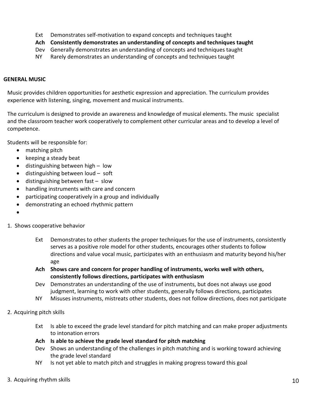- Ext Demonstrates self-motivation to expand concepts and techniques taught
- **Ach Consistently demonstrates an understanding of concepts and techniques taught**
- Dev Generally demonstrates an understanding of concepts and techniques taught
- NY Rarely demonstrates an understanding of concepts and techniques taught

#### **GENERAL MUSIC**

Music provides children opportunities for aesthetic expression and appreciation. The curriculum provides experience with listening, singing, movement and musical instruments.

The curriculum is designed to provide an awareness and knowledge of musical elements. The music specialist and the classroom teacher work cooperatively to complement other curricular areas and to develop a level of competence.

Students will be responsible for:

- matching pitch
- keeping a steady beat
- distinguishing between high low
- distinguishing between loud soft
- distinguishing between fast slow
- handling instruments with care and concern
- participating cooperatively in a group and individually
- demonstrating an echoed rhythmic pattern
- •

#### 1. Shows cooperative behavior

- Ext Demonstrates to other students the proper techniques for the use of instruments, consistently serves as a positive role model for other students, encourages other students to follow directions and value vocal music, participates with an enthusiasm and maturity beyond his/her age
- **Ach Shows care and concern for proper handling of instruments, works well with others, consistently follows directions, participates with enthusiasm**
- Dev Demonstrates an understanding of the use of instruments, but does not always use good judgment, learning to work with other students, generally follows directions, participates
- NY Misuses instruments, mistreats other students, does not follow directions, does not participate
- 2. Acquiring pitch skills
	- Ext Is able to exceed the grade level standard for pitch matching and can make proper adjustments to intonation errors
	- **Ach Is able to achieve the grade level standard for pitch matching**
	- Dev Shows an understanding of the challenges in pitch matching and is working toward achieving the grade level standard
	- NY Is not yet able to match pitch and struggles in making progress toward this goal
- 3. Acquiring rhythm skills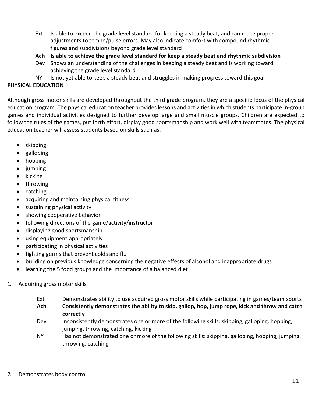- Ext Is able to exceed the grade level standard for keeping a steady beat, and can make proper adjustments to tempo/pulse errors. May also indicate comfort with compound rhythmic figures and subdivisions beyond grade level standard
- **Ach Is able to achieve the grade level standard for keep a steady beat and rhythmic subdivision**
- Dev Shows an understanding of the challenges in keeping a steady beat and is working toward achieving the grade level standard
- NY Is not yet able to keep a steady beat and struggles in making progress toward this goal

#### **PHYSICAL EDUCATION**

Although gross motor skills are developed throughout the third grade program, they are a specific focus of the physical education program. The physical education teacher provides lessons and activities in which students participate in-group games and individual activities designed to further develop large and small muscle groups. Children are expected to follow the rules of the games, put forth effort, display good sportsmanship and work well with teammates. The physical education teacher will assess students based on skills such as:

- skipping
- galloping
- hopping
- jumping
- kicking
- throwing
- catching
- acquiring and maintaining physical fitness
- sustaining physical activity
- showing cooperative behavior
- following directions of the game/activity/instructor
- displaying good sportsmanship
- using equipment appropriately
- participating in physical activities
- fighting germs that prevent colds and flu
- building on previous knowledge concerning the negative effects of alcohol and inappropriate drugs
- learning the 5 food groups and the importance of a balanced diet
- 1. Acquiring gross motor skills
	- Ext Demonstrates ability to use acquired gross motor skills while participating in games/team sports
	- **Ach Consistently demonstrates the ability to skip, gallop, hop, jump rope, kick and throw and catch correctly**
	- Dev Inconsistently demonstrates one or more of the following skills: skipping, galloping, hopping, jumping, throwing, catching, kicking
	- NY Has not demonstrated one or more of the following skills: skipping, galloping, hopping, jumping, throwing, catching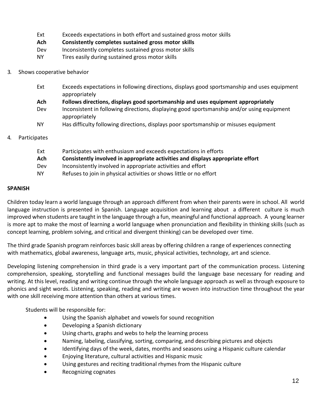Ext Exceeds expectations in both effort and sustained gross motor skills

**Ach Consistently completes sustained gross motor skills** 

- Dev Inconsistently completes sustained gross motor skills
- NY Tires easily during sustained gross motor skills
- 3. Shows cooperative behavior

| Ext        | Exceeds expectations in following directions, displays good sportsmanship and uses equipment<br>appropriately |
|------------|---------------------------------------------------------------------------------------------------------------|
| <b>Ach</b> | Follows directions, displays good sportsmanship and uses equipment appropriately                              |
| Dev        | Inconsistent in following directions, displaying good sportsmanship and/or using equipment<br>appropriately   |
| <b>NY</b>  | Has difficulty following directions, displays poor sportsmanship or misuses equipment                         |

#### 4. Participates

| Ext        | Participates with enthusiasm and exceeds expectations in efforts                |
|------------|---------------------------------------------------------------------------------|
| Ach        | Consistently involved in appropriate activities and displays appropriate effort |
| <b>Dev</b> | Inconsistently involved in appropriate activities and effort                    |
| NΥ         | Refuses to join in physical activities or shows little or no effort             |

#### **SPANISH**

Children today learn a world language through an approach different from when their parents were in school. All world language instruction is presented in Spanish. Language acquisition and learning about a different culture is much improved when students are taught in the language through a fun, meaningful and functional approach. A young learner is more apt to make the most of learning a world language when pronunciation and flexibility in thinking skills (such as concept learning, problem solving, and critical and divergent thinking) can be developed over time.

The third grade Spanish program reinforces basic skill areas by offering children a range of experiences connecting with mathematics, global awareness, language arts, music, physical activities, technology, art and science.

Developing listening comprehension in third grade is a very important part of the communication process. Listening comprehension, speaking, storytelling and functional messages build the language base necessary for reading and writing. At this level, reading and writing continue through the whole language approach as well as through exposure to phonics and sight words. Listening, speaking, reading and writing are woven into instruction time throughout the year with one skill receiving more attention than others at various times.

Students will be responsible for:

- Using the Spanish alphabet and vowels for sound recognition
- Developing a Spanish dictionary
- Using charts, graphs and webs to help the learning process
- Naming, labeling, classifying, sorting, comparing, and describing pictures and objects
- Identifying days of the week, dates, months and seasons using a Hispanic culture calendar
- Enjoying literature, cultural activities and Hispanic music
- Using gestures and reciting traditional rhymes from the Hispanic culture
- Recognizing cognates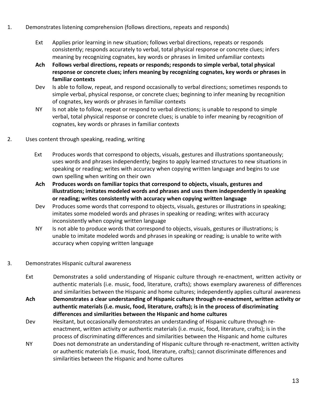- 1. Demonstrates listening comprehension (follows directions, repeats and responds)
	- Ext Applies prior learning in new situation; follows verbal directions, repeats or responds consistently; responds accurately to verbal, total physical response or concrete clues; infers meaning by recognizing cognates, key words or phrases in limited unfamiliar contexts
	- **Ach Follows verbal directions, repeats or responds; responds to simple verbal, total physical response or concrete clues; infers meaning by recognizing cognates, key words or phrases in familiar contexts**
	- Dev Is able to follow, repeat, and respond occasionally to verbal directions; sometimes responds to simple verbal, physical response, or concrete clues; beginning to infer meaning by recognition of cognates, key words or phrases in familiar contexts
	- NY Is not able to follow, repeat or respond to verbal directions; is unable to respond to simple verbal, total physical response or concrete clues; is unable to infer meaning by recognition of cognates, key words or phrases in familiar contexts
- 2. Uses content through speaking, reading, writing
	- Ext Produces words that correspond to objects, visuals, gestures and illustrations spontaneously; uses words and phrases independently; begins to apply learned structures to new situations in speaking or reading; writes with accuracy when copying written language and begins to use own spelling when writing on their own
	- **Ach Produces words on familiar topics that correspond to objects, visuals, gestures and illustrations; imitates modeled words and phrases and uses them independently in speaking or reading; writes consistently with accuracy when copying written language**
	- Dev Produces some words that correspond to objects, visuals, gestures or illustrations in speaking; imitates some modeled words and phrases in speaking or reading; writes with accuracy inconsistently when copying written language
	- NY Is not able to produce words that correspond to objects, visuals, gestures or illustrations; is unable to imitate modeled words and phrases in speaking or reading; is unable to write with accuracy when copying written language
- 3. Demonstrates Hispanic cultural awareness
	- Ext Demonstrates a solid understanding of Hispanic culture through re-enactment, written activity or authentic materials (i.e. music, food, literature, crafts); shows exemplary awareness of differences and similarities between the Hispanic and home cultures; independently applies cultural awareness
	- **Ach Demonstrates a clear understanding of Hispanic culture through re-enactment, written activity or authentic materials (i.e. music, food, literature, crafts); is in the process of discriminating differences and similarities between the Hispanic and home cultures**
	- Dev Hesitant, but occasionally demonstrates an understanding of Hispanic culture through reenactment, written activity or authentic materials (i.e. music, food, literature, crafts); is in the process of discriminating differences and similarities between the Hispanic and home cultures NY Does not demonstrate an understanding of Hispanic culture through re-enactment, written activity or authentic materials (i.e. music, food, literature, crafts); cannot discriminate differences and similarities between the Hispanic and home cultures